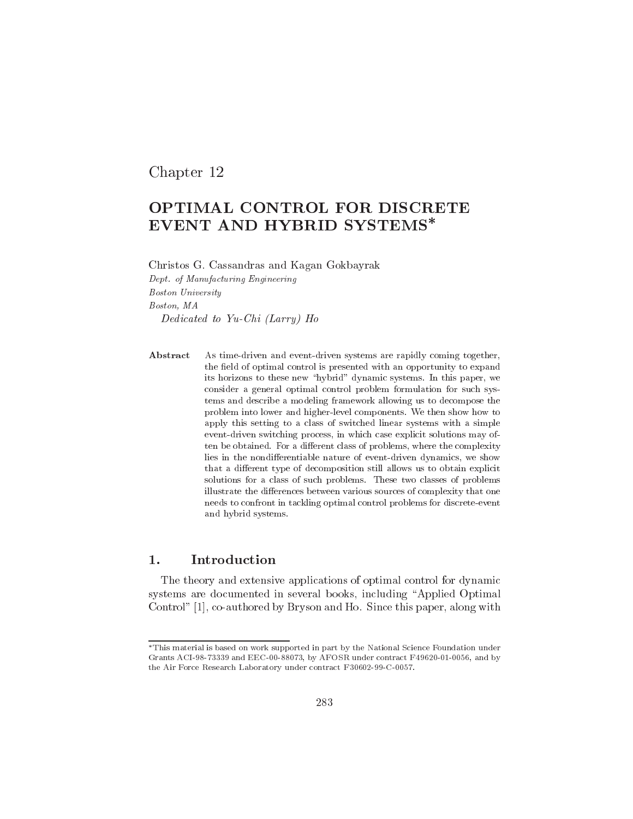## Chapter 12

# OPTIMAL CONTROL FOR DISCRETE **EVENT AND HYBRID SYSTEMS\***

Christos G. Cassandras and Kagan Gokbayrak

Dept. of Manufacturing Engineering **Boston University** Boston, MA Dedicated to Yu-Chi (Larry) Ho

Abstract As time-driven and event-driven systems are rapidly coming together, the field of optimal control is presented with an opportunity to expand its horizons to these new "hybrid" dynamic systems. In this paper, we consider a general optimal control problem formulation for such systems and describe a modeling framework allowing us to decompose the problem into lower and higher-level components. We then show how to apply this setting to a class of switched linear systems with a simple event-driven switching process, in which case explicit solutions may often be obtained. For a different class of problems, where the complexity lies in the nondifferentiable nature of event-driven dynamics, we show that a different type of decomposition still allows us to obtain explicit solutions for a class of such problems. These two classes of problems illustrate the differences between various sources of complexity that one needs to confront in tackling optimal control problems for discrete-event and hybrid systems.

#### Introduction 1.

The theory and extensive applications of optimal control for dynamic systems are documented in several books, including "Applied Optimal Control" [1], co-authored by Bryson and Ho. Since this paper, along with

<sup>\*</sup>This material is based on work supported in part by the National Science Foundation under Grants ACI-98-73339 and EEC-00-88073, by AFOSR under contract F49620-01-0056, and by the Air Force Research Laboratory under contract F30602-99-C-0057.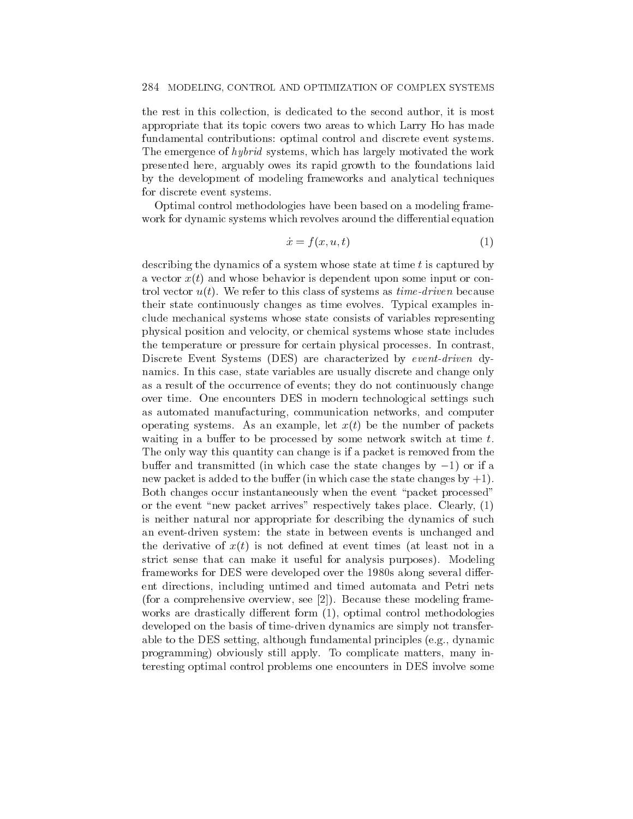the rest in this collection, is dedicated to the second author, it is most appropriate that its topic covers two areas to which Larry Ho has made fundamental contributions: optimal control and discrete event systems. The emergence of *hybrid* systems, which has largely motivated the work presented here, arguably owes its rapid growth to the foundations laid by the development of modeling frameworks and analytical techniques for discrete event systems.

Optimal control methodologies have been based on a modeling framework for dynamic systems which revolves around the differential equation

$$
\dot{x} = f(x, u, t) \tag{1}
$$

describing the dynamics of a system whose state at time t is captured by a vector  $x(t)$  and whose behavior is dependent upon some input or control vector  $u(t)$ . We refer to this class of systems as *time-driven* because their state continuously changes as time evolves. Typical examples include mechanical systems whose state consists of variables representing physical position and velocity, or chemical systems whose state includes the temperature or pressure for certain physical processes. In contrast, Discrete Event Systems (DES) are characterized by event-driven dynamics. In this case, state variables are usually discrete and change only as a result of the occurrence of events; they do not continuously change over time. One encounters DES in modern technological settings such as automated manufacturing, communication networks, and computer operating systems. As an example, let  $x(t)$  be the number of packets waiting in a buffer to be processed by some network switch at time  $t$ . The only way this quantity can change is if a packet is removed from the buffer and transmitted (in which case the state changes by  $-1$ ) or if a new packet is added to the buffer (in which case the state changes by  $+1$ ). Both changes occur instantaneously when the event "packet processed" or the event "new packet arrives" respectively takes place. Clearly, (1) is neither natural nor appropriate for describing the dynamics of such an event-driven system: the state in between events is unchanged and the derivative of  $x(t)$  is not defined at event times (at least not in a strict sense that can make it useful for analysis purposes). Modeling frameworks for DES were developed over the 1980s along several different directions, including untimed and timed automata and Petri nets (for a comprehensive overview, see [2]). Because these modeling frameworks are drastically different form (1), optimal control methodologies developed on the basis of time-driven dynamics are simply not transferable to the DES setting, although fundamental principles (e.g., dynamic programming) obviously still apply. To complicate matters, many interesting optimal control problems one encounters in DES involve some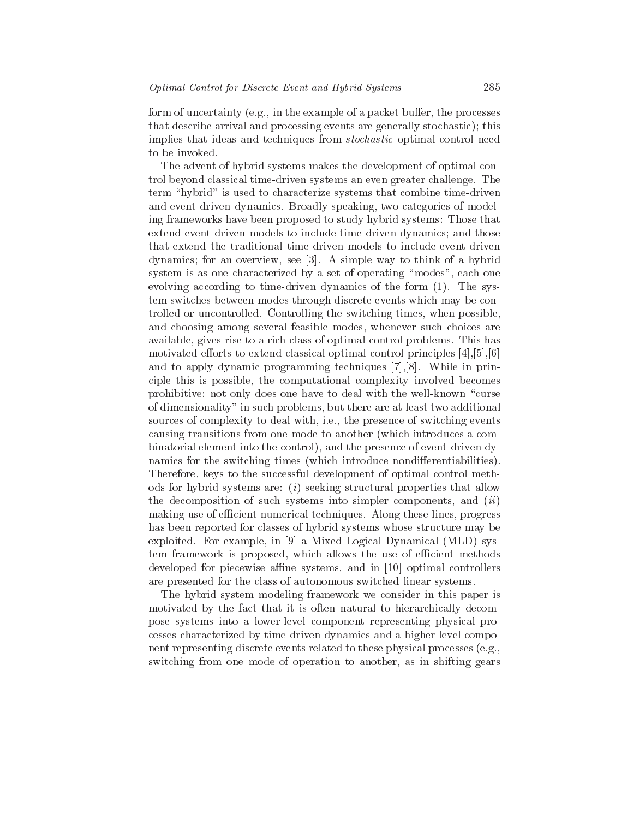form of uncertainty (e.g., in the example of a packet buffer, the processes that describe arrival and processing events are generally stochastic); this implies that ideas and techniques from *stochastic* optimal control need to be invoked.

The advent of hybrid systems makes the development of optimal control beyond classical time-driven systems an even greater challenge. The term "hybrid" is used to characterize systems that combine time-driven and event-driven dynamics. Broadly speaking, two categories of modeling frameworks have been proposed to study hybrid systems: Those that extend event-driven models to include time-driven dynamics; and those that extend the traditional time-driven models to include event-driven dynamics; for an overview, see [3]. A simple way to think of a hybrid system is as one characterized by a set of operating "modes", each one evolving according to time-driven dynamics of the form (1). The system switches between modes through discrete events which may be controlled or uncontrolled. Controlling the switching times, when possible, and choosing among several feasible modes, whenever such choices are available, gives rise to a rich class of optimal control problems. This has motivated efforts to extend classical optimal control principles  $[4],[5],[6]$ and to apply dynamic programming techniques  $[7],[8]$ . While in principle this is possible, the computational complexity involved becomes prohibitive: not only does one have to deal with the well-known "curse of dimensionality" in such problems, but there are at least two additional sources of complexity to deal with, i.e., the presence of switching events causing transitions from one mode to another (which introduces a combinatorial element into the control), and the presence of event-driven dynamics for the switching times (which introduce nondifferentiabilities). Therefore, keys to the successful development of optimal control methods for hybrid systems are:  $(i)$  seeking structural properties that allow the decomposition of such systems into simpler components, and  $(ii)$ making use of efficient numerical techniques. Along these lines, progress has been reported for classes of hybrid systems whose structure may be exploited. For example, in [9] a Mixed Logical Dynamical (MLD) system framework is proposed, which allows the use of efficient methods developed for piecewise affine systems, and in [10] optimal controllers are presented for the class of autonomous switched linear systems.

The hybrid system modeling framework we consider in this paper is motivated by the fact that it is often natural to hierarchically decompose systems into a lower-level component representing physical processes characterized by time-driven dynamics and a higher-level component representing discrete events related to these physical processes (e.g., switching from one mode of operation to another, as in shifting gears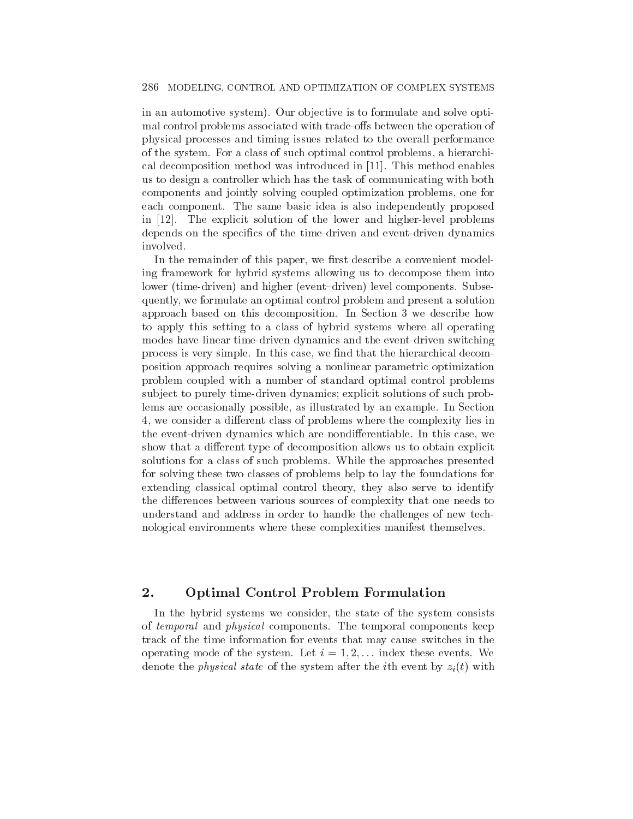### 286 MODELING, CONTROL AND OPTIMIZATION OF COMPLEX SYSTEMS

in an automotive system). Our objective is to formulate and solve optimal control problems associated with trade-offs between the operation of physical processes and timing issues related to the overall performance of the system. For a class of such optimal control problems, a hierarchical decomposition method was introduced in [11]. This method enables us to design a controller which has the task of communicating with both components and jointly solving coupled optimization problems, one for each component. The same basic idea is also independently proposed in [12]. The explicit solution of the lower and higher-level problems depends on the specifics of the time-driven and event-driven dynamics involved.

In the remainder of this paper, we first describe a convenient modeling framework for hybrid systems allowing us to decompose them into lower (time-driven) and higher (event-driven) level components. Subsequently, we formulate an optimal control problem and present a solution approach based on this decomposition. In Section 3 we describe how to apply this setting to a class of hybrid systems where all operating modes have linear time-driven dynamics and the event-driven switching process is very simple. In this case, we find that the hierarchical decomposition approach requires solving a nonlinear parametric optimization problem coupled with a number of standard optimal control problems subject to purely time-driven dynamics; explicit solutions of such problems are occasionally possible, as illustrated by an example. In Section 4, we consider a different class of problems where the complexity lies in the event-driven dynamics which are nondifferentiable. In this case, we show that a different type of decomposition allows us to obtain explicit solutions for a class of such problems. While the approaches presented for solving these two classes of problems help to lay the foundations for extending classical optimal control theory, they also serve to identify the differences between various sources of complexity that one needs to understand and address in order to handle the challenges of new technological environments where these complexities manifest themselves.

#### $2.$ **Optimal Control Problem Formulation**

In the hybrid systems we consider, the state of the system consists of temporal and physical components. The temporal components keep track of the time information for events that may cause switches in the operating mode of the system. Let  $i = 1, 2, \ldots$  index these events. We denote the *physical state* of the system after the *i*th event by  $z_i(t)$  with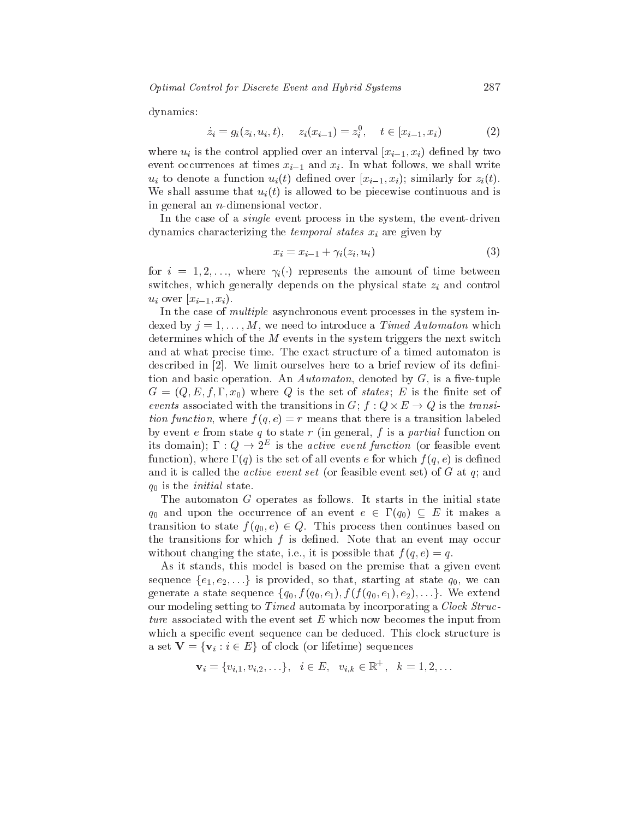dynamics:

$$
\dot{z}_i = g_i(z_i, u_i, t), \quad z_i(x_{i-1}) = z_i^0, \quad t \in [x_{i-1}, x_i)
$$
 (2)

where  $u_i$  is the control applied over an interval  $[x_{i-1}, x_i]$  defined by two event occurrences at times  $x_{i-1}$  and  $x_i$ . In what follows, we shall write  $u_i$  to denote a function  $u_i(t)$  defined over  $[x_{i-1}, x_i)$ ; similarly for  $z_i(t)$ . We shall assume that  $u_i(t)$  is allowed to be piecewise continuous and is in general an  $n$ -dimensional vector.

In the case of a *single* event process in the system, the event-driven dynamics characterizing the *temporal states*  $x_i$  are given by

$$
x_i = x_{i-1} + \gamma_i(z_i, u_i) \tag{3}
$$

for  $i = 1, 2, \ldots$ , where  $\gamma_i(\cdot)$  represents the amount of time between switches, which generally depends on the physical state  $z_i$  and control  $u_i$  over  $[x_{i-1}, x_i]$ .

In the case of *multiple* asynchronous event processes in the system indexed by  $j = 1, ..., M$ , we need to introduce a *Timed Automaton* which determines which of the  $M$  events in the system triggers the next switch and at what precise time. The exact structure of a timed automaton is described in [2]. We limit ourselves here to a brief review of its definition and basic operation. An Automaton, denoted by  $G$ , is a five-tuple  $G = (Q, E, f, \Gamma, x_0)$  where Q is the set of states; E is the finite set of events associated with the transitions in  $G; f: Q \times E \to Q$  is the transi*tion function*, where  $f(q, e) = r$  means that there is a transition labeled by event e from state q to state  $r$  (in general,  $f$  is a partial function on its domain);  $\Gamma: Q \to 2^E$  is the *active event function* (or feasible event function), where  $\Gamma(q)$  is the set of all events e for which  $f(q,e)$  is defined and it is called the *active event set* (or feasible event set) of  $G$  at  $q$ ; and  $q_0$  is the *initial* state.

The automaton G operates as follows. It starts in the initial state  $q_0$  and upon the occurrence of an event  $e \in \Gamma(q_0) \subseteq E$  it makes a transition to state  $f(q_0, e) \in Q$ . This process then continues based on the transitions for which  $f$  is defined. Note that an event may occur without changing the state, i.e., it is possible that  $f(q, e) = q$ .

As it stands, this model is based on the premise that a given event sequence  $\{e_1, e_2, \ldots\}$  is provided, so that, starting at state  $q_0$ , we can generate a state sequence  $\{q_0, f(q_0, e_1), f(f(q_0, e_1), e_2), \ldots\}$ . We extend our modeling setting to Timed automata by incorporating a Clock Structure associated with the event set  $E$  which now becomes the input from which a specific event sequence can be deduced. This clock structure is a set  $\mathbf{V} = {\mathbf{v}_i : i \in E}$  of clock (or lifetime) sequences

$$
\mathbf{v}_i = \{v_{i,1}, v_{i,2}, \ldots\}, \quad i \in E, \quad v_{i,k} \in \mathbb{R}^+, \quad k = 1, 2, \ldots
$$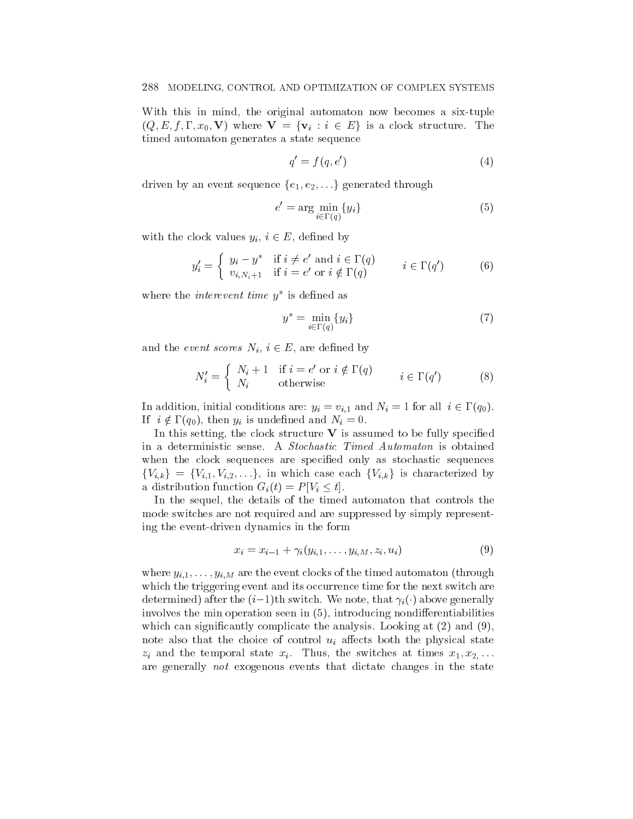With this in mind, the original automaton now becomes a six-tuple  $(Q, E, f, \Gamma, x_0, V)$  where  $V = \{v_i : i \in E\}$  is a clock structure. The timed automaton generates a state sequence

$$
q' = f(q, e') \tag{4}
$$

driven by an event sequence  $\{e_1, e_2, \ldots\}$  generated through

$$
e' = \arg\min_{i \in \Gamma(q)} \{y_i\} \tag{5}
$$

with the clock values  $y_i, i \in E$ , defined by

$$
y'_{i} = \begin{cases} y_{i} - y^{*} & \text{if } i \neq e' \text{ and } i \in \Gamma(q) \\ v_{i,N_{i}+1} & \text{if } i = e' \text{ or } i \notin \Gamma(q) \end{cases} \qquad i \in \Gamma(q') \qquad (6)
$$

where the *interevent time*  $y^*$  is defined as

$$
y^* = \min_{i \in \Gamma(q)} \{y_i\} \tag{7}
$$

and the event scores  $N_i$ ,  $i \in E$ , are defined by

$$
N'_{i} = \begin{cases} N_{i} + 1 & \text{if } i = e' \text{ or } i \notin \Gamma(q) \\ N_{i} & \text{otherwise} \end{cases} \quad i \in \Gamma(q') \quad (8)
$$

In addition, initial conditions are:  $y_i = v_{i,1}$  and  $N_i = 1$  for all  $i \in \Gamma(q_0)$ . If  $i \notin \Gamma(q_0)$ , then  $y_i$  is undefined and  $N_i = 0$ .

In this setting, the clock structure  $V$  is assumed to be fully specified in a deterministic sense. A Stochastic Timed Automaton is obtained when the clock sequences are specified only as stochastic sequences  ${V_{i,k}} = {V_{i,1}, V_{i,2}, \ldots}$ , in which case each  ${V_{i,k}}$  is characterized by a distribution function  $G_i(t) = P[V_i \leq t]$ .

In the sequel, the details of the timed automaton that controls the mode switches are not required and are suppressed by simply representing the event-driven dynamics in the form

$$
x_i = x_{i-1} + \gamma_i(y_{i,1}, \dots, y_{i,M}, z_i, u_i)
$$
\n(9)

where  $y_{i,1}, \ldots, y_{i,M}$  are the event clocks of the timed automaton (through which the triggering event and its occurrence time for the next switch are determined) after the  $(i-1)$ th switch. We note, that  $\gamma_i(\cdot)$  above generally involves the min operation seen in (5), introducing nondifferentiabilities which can significantly complicate the analysis. Looking at  $(2)$  and  $(9)$ , note also that the choice of control  $u_i$  affects both the physical state  $z_i$  and the temporal state  $x_i$ . Thus, the switches at times  $x_1, x_2, \ldots$ are generally not exogenous events that dictate changes in the state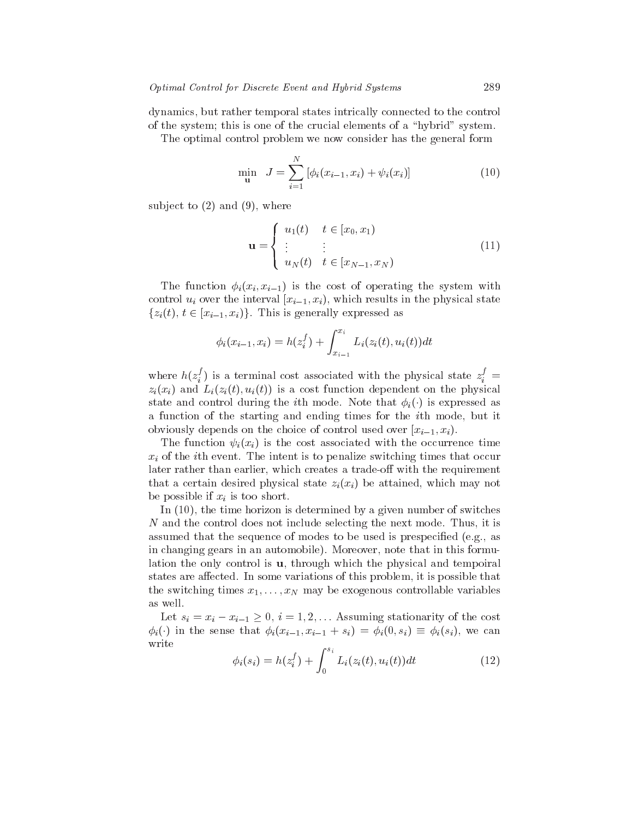dynamics, but rather temporal states intrically connected to the control of the system; this is one of the crucial elements of a "hybrid" system.

The optimal control problem we now consider has the general form

$$
\min_{\mathbf{u}} \quad J = \sum_{i=1}^{N} \left[ \phi_i(x_{i-1}, x_i) + \psi_i(x_i) \right] \tag{10}
$$

subject to  $(2)$  and  $(9)$ , where

$$
\mathbf{u} = \begin{cases} u_1(t) & t \in [x_0, x_1) \\ \vdots & \vdots \\ u_N(t) & t \in [x_{N-1}, x_N) \end{cases}
$$
(11)

The function  $\phi_i(x_i, x_{i-1})$  is the cost of operating the system with control  $u_i$  over the interval  $[x_{i-1}, x_i]$ , which results in the physical state  $\{z_i(t), t \in [x_{i-1}, x_i)\}\.$  This is generally expressed as

$$
\phi_i(x_{i-1}, x_i) = h(z_i^f) + \int_{x_{i-1}}^{x_i} L_i(z_i(t), u_i(t)) dt
$$

where  $h(z_i^f)$  is a terminal cost associated with the physical state  $z_i^f$  =  $z_i(x_i)$  and  $L_i(z_i(t), u_i(t))$  is a cost function dependent on the physical state and control during the *i*th mode. Note that  $\phi_i(\cdot)$  is expressed as a function of the starting and ending times for the *i*th mode, but it obviously depends on the choice of control used over  $[x_{i-1}, x_i]$ .

The function  $\psi_i(x_i)$  is the cost associated with the occurrence time  $x_i$  of the *i*th event. The intent is to penalize switching times that occur later rather than earlier, which creates a trade-off with the requirement that a certain desired physical state  $z_i(x_i)$  be attained, which may not be possible if  $x_i$  is too short.

In  $(10)$ , the time horizon is determined by a given number of switches N and the control does not include selecting the next mode. Thus, it is assumed that the sequence of modes to be used is prespecified (e.g., as in changing gears in an automobile). Moreover, note that in this formulation the only control is **u**, through which the physical and tempoiral states are affected. In some variations of this problem, it is possible that the switching times  $x_1, \ldots, x_N$  may be exogenous controllable variables as well.

Let  $s_i = x_i - x_{i-1} \geq 0$ ,  $i = 1, 2, \ldots$  Assuming stationarity of the cost  $\phi_i(\cdot)$  in the sense that  $\phi_i(x_{i-1}, x_{i-1} + s_i) = \phi_i(0, s_i) \equiv \phi_i(s_i)$ , we can write

$$
\phi_i(s_i) = h(z_i^f) + \int_0^{s_i} L_i(z_i(t), u_i(t)) dt \qquad (12)
$$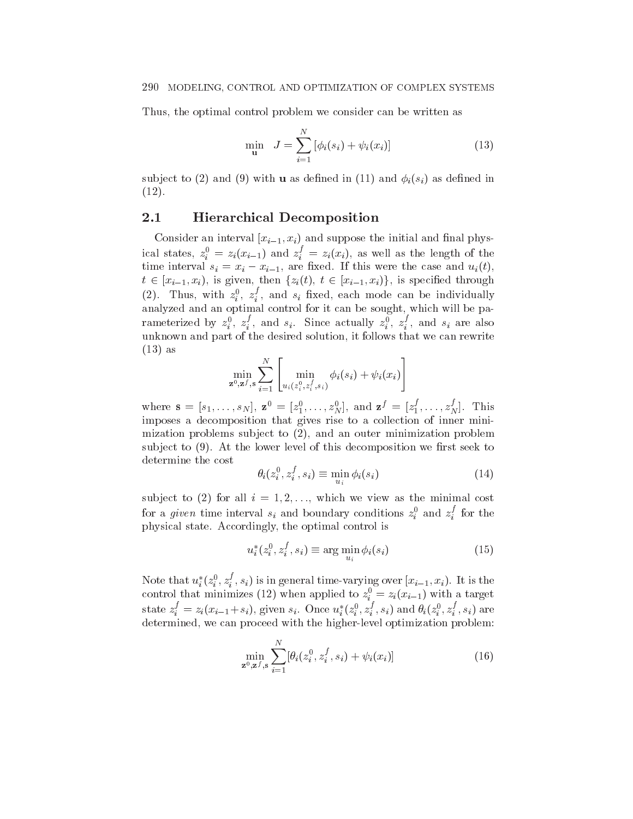Thus, the optimal control problem we consider can be written as

$$
\min_{\mathbf{u}} \quad J = \sum_{i=1}^{N} [\phi_i(s_i) + \psi_i(x_i)] \tag{13}
$$

subject to (2) and (9) with **u** as defined in (11) and  $\phi_i(s_i)$  as defined in  $(12).$ 

#### $2.1$ **Hierarchical Decomposition**

Consider an interval  $[x_{i-1}, x_i]$  and suppose the initial and final physical states,  $z_i^0 = z_i(x_{i-1})$  and  $z_i^f = z_i(x_i)$ , as well as the length of the time interval  $s_i = x_i - x_{i-1}$ , are fixed. If this were the case and  $u_i(t)$ ,  $t \in [x_{i-1}, x_i)$ , is given, then  $\{z_i(t), t \in [x_{i-1}, x_i)\}\$ , is specified through (2). Thus, with  $z_i^0$ ,  $z_i^f$ , and  $s_i$  fixed, each mode can be individually analyzed and an optimal control for it can be sought, which will be parameterized by  $z_i^0$ ,  $z_i^f$ , and  $s_i$ . Since actually  $z_i^0$ ,  $z_i^f$ , and  $s_i$  are also unknown and part of the desired solution, it follows that we can rewrite  $(13)$  as

$$
\min_{\mathbf{z}^0, \mathbf{z}^f, \mathbf{s}} \sum_{i=1}^N \left[ \min_{u_i(z_i^0, z_i^f, s_i)} \phi_i(s_i) + \psi_i(x_i) \right]
$$

where  $\mathbf{s} = [s_1, \dots, s_N]$ ,  $\mathbf{z}^0 = [z_1^0, \dots, z_N^0]$ , and  $\mathbf{z}^f = [z_1^f, \dots, z_N^f]$ . This imposes a decomposition that gives rise to a collection of inner minimization problems subject to  $(2)$ , and an outer minimization problem subject to  $(9)$ . At the lower level of this decomposition we first seek to determine the cost

$$
\theta_i(z_i^0, z_i^f, s_i) \equiv \min_{u_i} \phi_i(s_i) \tag{14}
$$

subject to (2) for all  $i = 1, 2, ...,$  which we view as the minimal cost for a *given* time interval  $s_i$  and boundary conditions  $z_i^0$  and  $z_i^f$  for the physical state. Accordingly, the optimal control is

$$
u_i^*(z_i^0, z_i^f, s_i) \equiv \arg\min_{u_i} \phi_i(s_i)
$$
\n
$$
(15)
$$

Note that  $u_i^*(z_i^0, z_i^f, s_i)$  is in general time-varying over  $[x_{i-1}, x_i)$ . It is the control that minimizes (12) when applied to  $z_i^0 = z_i(x_{i-1})$  with a target state  $z_i^f = z_i(x_{i-1} + s_i)$ , given  $s_i$ . Once  $u_i^*(z_i^0, z_i^f, s_i)$  and  $\theta_i(z_i^0, z_i^f, s_i)$  are determined, we can proceed with the higher-level optimization problem:

$$
\min_{\mathbf{z}^{0},\mathbf{z}^{f},\mathbf{s}}\sum_{i=1}^{N}[\theta_{i}(z_{i}^{0},z_{i}^{f},s_{i})+\psi_{i}(x_{i})]
$$
\n(16)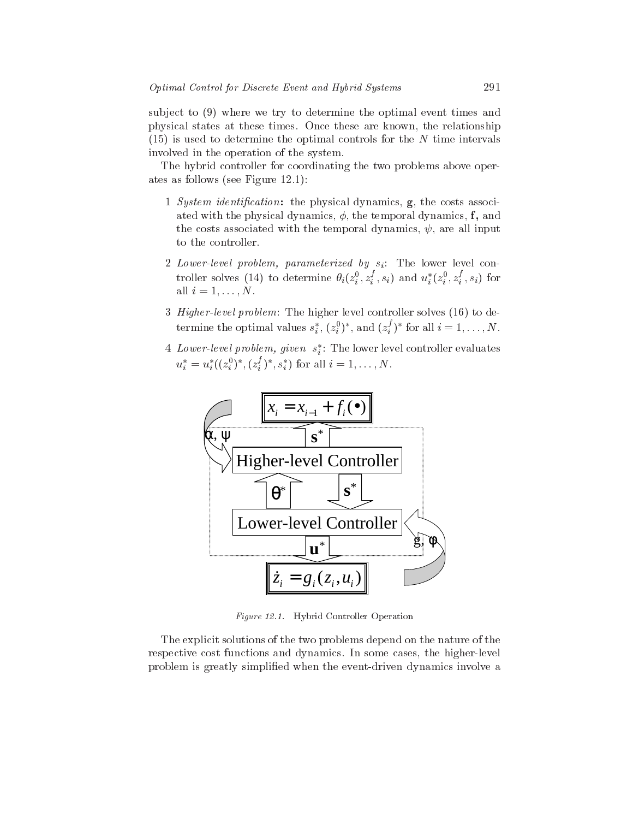subject to (9) where we try to determine the optimal event times and physical states at these times. Once these are known, the relationship  $(15)$  is used to determine the optimal controls for the N time intervals involved in the operation of the system.

The hybrid controller for coordinating the two problems above operates as follows (see Figure 12.1):

- 1 System identification: the physical dynamics, g, the costs associated with the physical dynamics,  $\phi$ , the temporal dynamics, f, and the costs associated with the temporal dynamics,  $\psi$ , are all input to the controller.
- 2 Lower-level problem, parameterized by  $s_i$ : The lower level controller solves (14) to determine  $\theta_i(z_i^0, z_i^f, s_i)$  and  $u_i^*(z_i^0, z_i^f, s_i)$  for all  $i=1,\ldots,N$ .
- 3 *Higher-level problem*: The higher level controller solves (16) to determine the optimal values  $s_i^*$ ,  $(z_i^0)^*$ , and  $(z_i^f)^*$  for all  $i = 1, ..., N$ .
- 4 Lower-level problem, given  $s_i^*$ : The lower level controller evaluates  $u_i^* = u_i^*((z_i^0)^*, (z_i^f)^*, s_i^*)$  for all  $i = 1, ..., N$ .



Figure 12.1. Hybrid Controller Operation

The explicit solutions of the two problems depend on the nature of the respective cost functions and dynamics. In some cases, the higher-level problem is greatly simplified when the event-driven dynamics involve a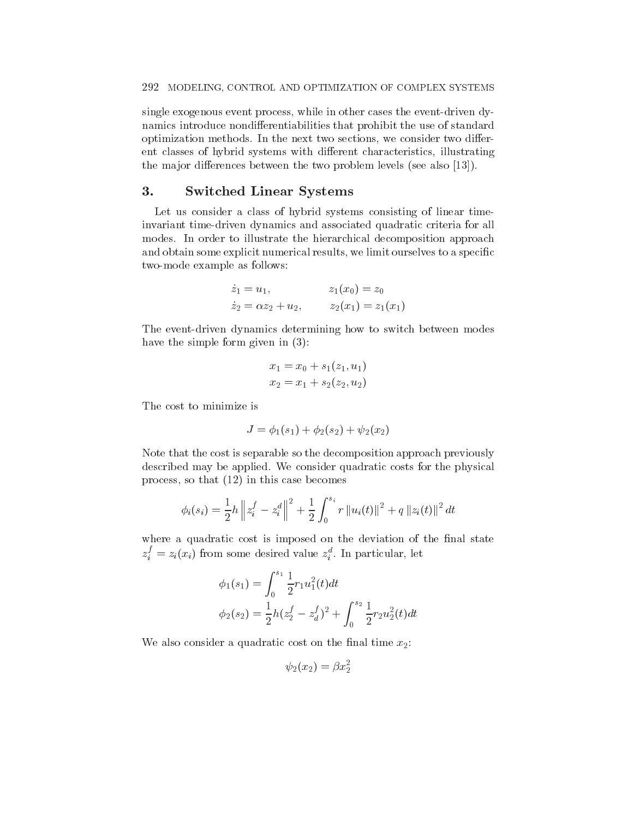single exogenous event process, while in other cases the event-driven dynamics introduce nondifferentiabilities that prohibit the use of standard optimization methods. In the next two sections, we consider two different classes of hybrid systems with different characteristics, illustrating the major differences between the two problem levels (see also [13]).

#### 3. **Switched Linear Systems**

Let us consider a class of hybrid systems consisting of linear timeinvariant time-driven dynamics and associated quadratic criteria for all modes. In order to illustrate the hierarchical decomposition approach and obtain some explicit numerical results, we limit ourselves to a specific two-mode example as follows:

$$
\dot{z}_1 = u_1,
$$
  $z_1(x_0) = z_0$   
\n $\dot{z}_2 = \alpha z_2 + u_2,$   $z_2(x_1) = z_1(x_1)$ 

The event-driven dynamics determining how to switch between modes have the simple form given in  $(3)$ :

$$
x_1 = x_0 + s_1(z_1, u_1)
$$
  

$$
x_2 = x_1 + s_2(z_2, u_2)
$$

The cost to minimize is

$$
J = \phi_1(s_1) + \phi_2(s_2) + \psi_2(x_2)
$$

Note that the cost is separable so the decomposition approach previously described may be applied. We consider quadratic costs for the physical process, so that  $(12)$  in this case becomes

$$
\phi_i(s_i) = \frac{1}{2}h \left\| z_i^f - z_i^d \right\|^2 + \frac{1}{2} \int_0^{s_i} r \left\| u_i(t) \right\|^2 + q \left\| z_i(t) \right\|^2 dt
$$

where a quadratic cost is imposed on the deviation of the final state  $z_i^f = z_i(x_i)$  from some desired value  $z_i^d$ . In particular, let

$$
\phi_1(s_1) = \int_0^{s_1} \frac{1}{2} r_1 u_1^2(t) dt
$$
  

$$
\phi_2(s_2) = \frac{1}{2} h (z_2^f - z_d^f)^2 + \int_0^{s_2} \frac{1}{2} r_2 u_2^2(t) dt
$$

We also consider a quadratic cost on the final time  $x_2$ :

$$
\psi_2(x_2) = \beta x_2^2
$$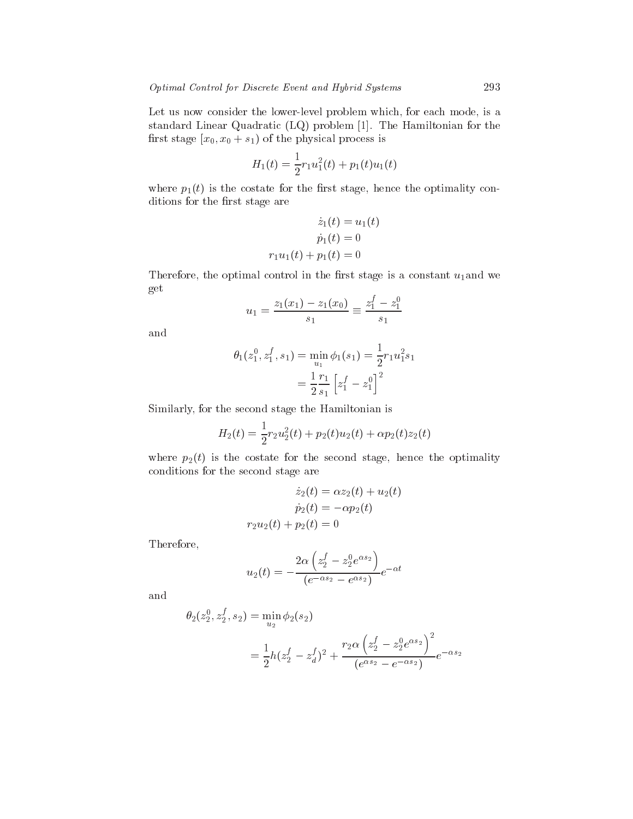Let us now consider the lower-level problem which, for each mode, is a standard Linear Quadratic (LQ) problem [1]. The Hamiltonian for the first stage  $[x_0, x_0 + s_1)$  of the physical process is

$$
H_1(t) = \frac{1}{2}r_1u_1^2(t) + p_1(t)u_1(t)
$$

where  $p_1(t)$  is the costate for the first stage, hence the optimality conditions for the first stage are

$$
\dot{z}_1(t) = u_1(t)
$$

$$
\dot{p}_1(t) = 0
$$

$$
r_1u_1(t) + p_1(t) = 0
$$

Therefore, the optimal control in the first stage is a constant  $u_1$  and we get

$$
u_1 = \frac{z_1(x_1) - z_1(x_0)}{s_1} \equiv \frac{z_1^f - z_1^0}{s_1}
$$

and

$$
\theta_1(z_1^0, z_1^f, s_1) = \min_{u_1} \phi_1(s_1) = \frac{1}{2} r_1 u_1^2 s_1
$$

$$
= \frac{1}{2} \frac{r_1}{s_1} \left[ z_1^f - z_1^0 \right]^2
$$

Similarly, for the second stage the Hamiltonian is

$$
H_2(t) = \frac{1}{2}r_2u_2(t) + p_2(t)u_2(t) + \alpha p_2(t)z_2(t)
$$

where  $p_2(t)$  is the costate for the second stage, hence the optimality conditions for the second stage are

$$
\dot{z}_2(t) = \alpha z_2(t) + u_2(t) \n\dot{p}_2(t) = -\alpha p_2(t) \nr_2 u_2(t) + p_2(t) = 0
$$

Therefore,

$$
u_2(t) = -\frac{2\alpha \left(z_2^f - z_2^0 e^{\alpha s_2}\right)}{\left(e^{-\alpha s_2} - e^{\alpha s_2}\right)} e^{-\alpha t}
$$

and

$$
\theta_2(z_2^0, z_2^f, s_2) = \min_{u_2} \phi_2(s_2)
$$
  
=  $\frac{1}{2}h(z_2^f - z_d^f)^2 + \frac{r_2\alpha (z_2^f - z_2^0 e^{\alpha s_2})^2}{(e^{\alpha s_2} - e^{-\alpha s_2})}e^{-\alpha s_2}$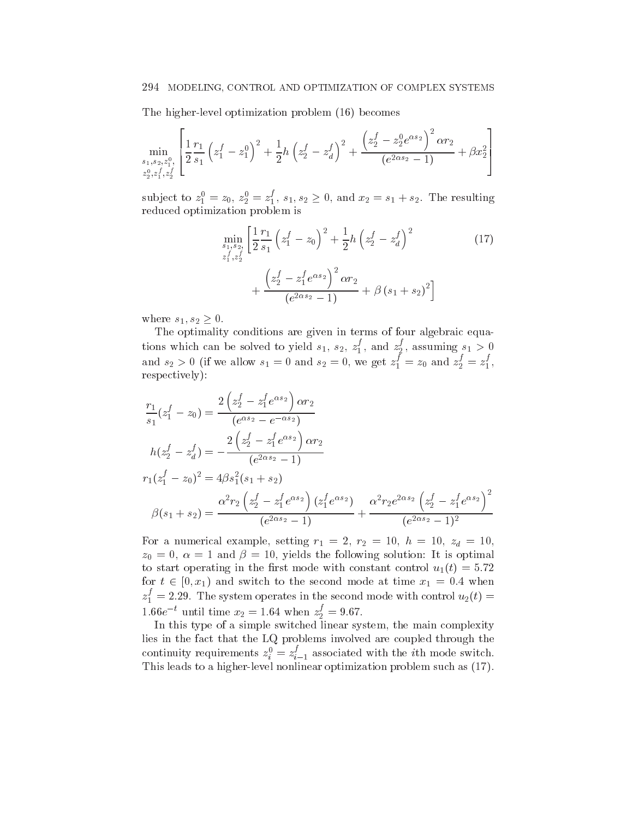### 294 MODELING, CONTROL AND OPTIMIZATION OF COMPLEX SYSTEMS

The higher-level optimization problem (16) becomes

$$
\min_{\substack{s_1, s_2, z_1^0, \\ z_2^0, z_1^f, z_2^f}} \left[ \frac{1}{2} \frac{r_1}{s_1} \left( z_1^f - z_1^0 \right)^2 + \frac{1}{2} h \left( z_2^f - z_3^f \right)^2 + \frac{\left( z_2^f - z_2^0 e^{\alpha s_2} \right)^2 \alpha r_2}{\left( e^{2\alpha s_2} - 1 \right)} + \beta x_2^2 \right]
$$

subject to  $z_1^0 = z_0$ ,  $z_2^0 = z_1^f$ ,  $s_1, s_2 \ge 0$ , and  $x_2 = s_1 + s_2$ . The resulting reduced optimization problem is

$$
\min_{\substack{s_1, s_2, \\ z_1^f, z_2^f}} \left[ \frac{1}{2} \frac{r_1}{s_1} \left( z_1^f - z_0 \right)^2 + \frac{1}{2} h \left( z_2^f - z_4^f \right)^2 + \frac{\left( z_2^f - z_1^f e^{\alpha s_2} \right)^2 \alpha r_2}{\left( e^{2\alpha s_2} - 1 \right)} + \beta \left( s_1 + s_2 \right)^2 \right]
$$
\n(17)

where  $s_1, s_2 \geq 0$ .

The optimality conditions are given in terms of four algebraic equations which can be solved to yield  $s_1$ ,  $s_2$ ,  $z_1^f$ , and  $z_2^f$ , assuming  $s_1 > 0$ <br>and  $s_2 > 0$  (if we allow  $s_1 = 0$  and  $s_2 = 0$ , we get  $z_1^f = z_0$  and  $z_2^f = z_1^f$ , respectively):

$$
\frac{r_1}{s_1}(z_1^f - z_0) = \frac{2\left(z_2^f - z_1^f e^{\alpha s_2}\right)\alpha r_2}{(e^{\alpha s_2} - e^{-\alpha s_2})}
$$
\n
$$
h(z_2^f - z_d^f) = -\frac{2\left(z_2^f - z_1^f e^{\alpha s_2}\right)\alpha r_2}{(e^{2\alpha s_2} - 1)}
$$
\n
$$
r_1(z_1^f - z_0)^2 = 4\beta s_1^2(s_1 + s_2)
$$
\n
$$
\beta(s_1 + s_2) = \frac{\alpha^2 r_2\left(z_2^f - z_1^f e^{\alpha s_2}\right)\left(z_1^f e^{\alpha s_2}\right)}{(e^{2\alpha s_2} - 1)} + \frac{\alpha^2 r_2 e^{2\alpha s_2}\left(z_2^f - z_1^f e^{\alpha s_2}\right)^2}{(e^{2\alpha s_2} - 1)^2}
$$

For a numerical example, setting  $r_1 = 2$ ,  $r_2 = 10$ ,  $h = 10$ ,  $z_d = 10$ ,  $z_0 = 0, \ \alpha = 1$  and  $\beta = 10$ , yields the following solution: It is optimal to start operating in the first mode with constant control  $u_1(t) = 5.72$ for  $t \in [0, x_1)$  and switch to the second mode at time  $x_1 = 0.4$  when  $z_1^f = 2.29$ . The system operates in the second mode with control  $u_2(t) =$ 1.66 $e^{-t}$  until time  $x_2 = 1.64$  when  $z_2^f = 9.67$ .

In this type of a simple switched linear system, the main complexity lies in the fact that the LQ problems involved are coupled through the continuity requirements  $z_i^0 = z_{i-1}^f$  associated with the *i*th mode switch. This leads to a higher-level nonlinear optimization problem such as (17).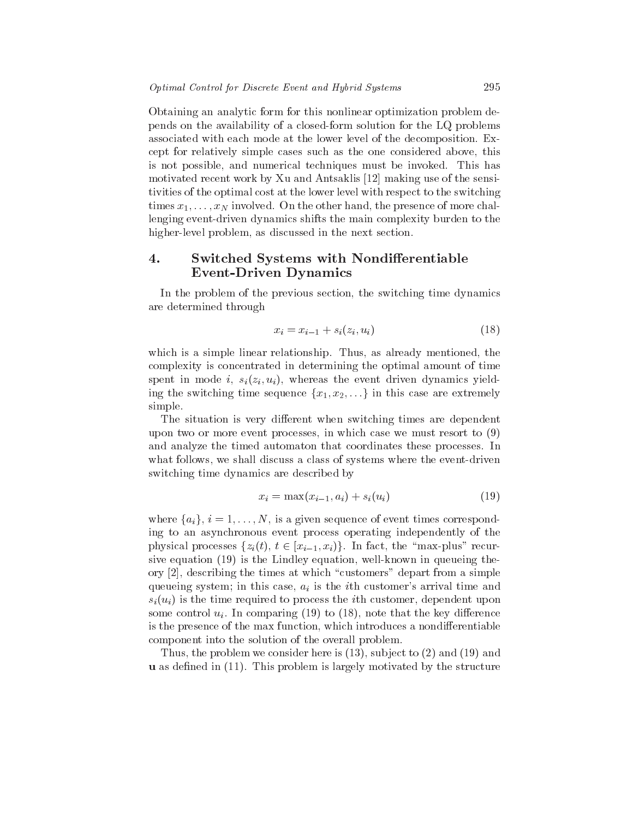Obtaining an analytic form for this nonlinear optimization problem depends on the availability of a closed-form solution for the LQ problems associated with each mode at the lower level of the decomposition. Except for relatively simple cases such as the one considered above, this is not possible, and numerical techniques must be invoked. This has motivated recent work by Xu and Antsaklis [12] making use of the sensitivities of the optimal cost at the lower level with respect to the switching times  $x_1, \ldots, x_N$  involved. On the other hand, the presence of more challenging event-driven dynamics shifts the main complexity burden to the higher-level problem, as discussed in the next section.

### $\bf{4.}$ Switched Systems with Nondifferentiable **Event-Driven Dynamics**

In the problem of the previous section, the switching time dynamics are determined through

$$
x_i = x_{i-1} + s_i(z_i, u_i)
$$
 (18)

which is a simple linear relationship. Thus, as already mentioned, the complexity is concentrated in determining the optimal amount of time spent in mode *i*,  $s_i(z_i, u_i)$ , whereas the event driven dynamics yielding the switching time sequence  $\{x_1, x_2, \ldots\}$  in this case are extremely simple.

The situation is very different when switching times are dependent upon two or more event processes, in which case we must resort to  $(9)$ and analyze the timed automaton that coordinates these processes. In what follows, we shall discuss a class of systems where the event-driven switching time dynamics are described by

$$
x_i = \max(x_{i-1}, a_i) + s_i(u_i)
$$
\n(19)

where  $\{a_i\}, i = 1, \ldots, N$ , is a given sequence of event times corresponding to an asynchronous event process operating independently of the physical processes  $\{z_i(t), t \in [x_{i-1}, x_i)\}\$ . In fact, the "max-plus" recursive equation (19) is the Lindley equation, well-known in queueing theory [2], describing the times at which "customers" depart from a simple queueing system; in this case,  $a_i$  is the *i*th customer's arrival time and  $s_i(u_i)$  is the time required to process the *i*th customer, dependent upon some control  $u_i$ . In comparing (19) to (18), note that the key difference is the presence of the max function, which introduces a nondifferentiable component into the solution of the overall problem.

Thus, the problem we consider here is  $(13)$ , subject to  $(2)$  and  $(19)$  and  $\bf{u}$  as defined in (11). This problem is largely motivated by the structure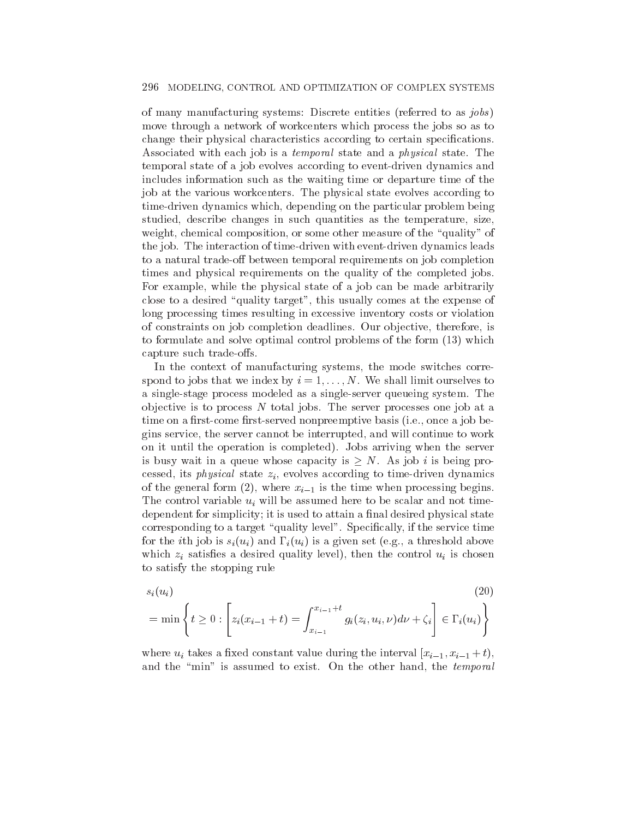### 296 MODELING, CONTROL AND OPTIMIZATION OF COMPLEX SYSTEMS

of many manufacturing systems: Discrete entities (referred to as jobs) move through a network of workcenters which process the jobs so as to change their physical characteristics according to certain specifications. Associated with each job is a *temporal* state and a *physical* state. The temporal state of a job evolves according to event-driven dynamics and includes information such as the waiting time or departure time of the job at the various workcenters. The physical state evolves according to time-driven dynamics which, depending on the particular problem being studied, describe changes in such quantities as the temperature, size, weight, chemical composition, or some other measure of the "quality" of the job. The interaction of time-driven with event-driven dynamics leads to a natural trade-off between temporal requirements on job completion times and physical requirements on the quality of the completed jobs. For example, while the physical state of a job can be made arbitrarily close to a desired "quality target", this usually comes at the expense of long processing times resulting in excessive inventory costs or violation of constraints on job completion deadlines. Our objective, therefore, is to formulate and solve optimal control problems of the form (13) which capture such trade-offs.

In the context of manufacturing systems, the mode switches correspond to jobs that we index by  $i = 1, ..., N$ . We shall limit ourselves to a single-stage process modeled as a single-server queueing system. The objective is to process  $N$  total jobs. The server processes one job at a time on a first-come first-served nonpreemptive basis (i.e., once a job begins service, the server cannot be interrupted, and will continue to work on it until the operation is completed). Jobs arriving when the server is busy wait in a queue whose capacity is  $> N$ . As job i is being processed, its *physical* state  $z_i$ , evolves according to time-driven dynamics of the general form (2), where  $x_{i-1}$  is the time when processing begins. The control variable  $u_i$  will be assumed here to be scalar and not timedependent for simplicity; it is used to attain a final desired physical state corresponding to a target "quality level". Specifically, if the service time for the *i*th job is  $s_i(u_i)$  and  $\Gamma_i(u_i)$  is a given set (e.g., a threshold above which  $z_i$  satisfies a desired quality level), then the control  $u_i$  is chosen to satisfy the stopping rule

$$
s_i(u_i)
$$
  
= min  $\left\{ t \ge 0 : \left[ z_i(x_{i-1} + t) = \int_{x_{i-1}}^{x_{i-1} + t} g_i(z_i, u_i, \nu) d\nu + \zeta_i \right] \in \Gamma_i(u_i) \right\}$  (20)

where  $u_i$  takes a fixed constant value during the interval  $[x_{i-1}, x_{i-1} + t]$ , and the "min" is assumed to exist. On the other hand, the temporal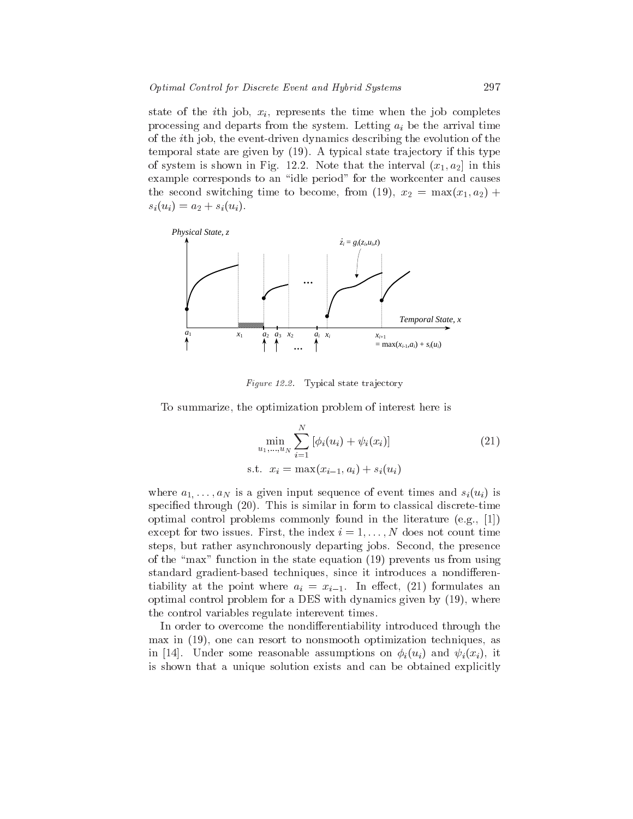state of the *i*th job,  $x_i$ , represents the time when the job completes processing and departs from the system. Letting  $a_i$  be the arrival time of the *i*th job, the event-driven dynamics describing the evolution of the temporal state are given by (19). A typical state trajectory if this type of system is shown in Fig. 12.2. Note that the interval  $(x_1, a_2]$  in this example corresponds to an "idle period" for the workcenter and causes the second switching time to become, from (19),  $x_2 = \max(x_1, a_2) +$  $s_i(u_i) = a_2 + s_i(u_i).$ 



Figure 12.2. Typical state trajectory

To summarize, the optimization problem of interest here is

$$
\min_{u_1, ..., u_N} \sum_{i=1}^{N} [\phi_i(u_i) + \psi_i(x_i)]
$$
\n
$$
\text{s.t.} \quad x_i = \max(x_{i-1}, a_i) + s_i(u_i)
$$
\n(21)

where  $a_1, \ldots, a_N$  is a given input sequence of event times and  $s_i(u_i)$  is specified through (20). This is similar in form to classical discrete-time optimal control problems commonly found in the literature (e.g.,  $[1]$ ) except for two issues. First, the index  $i = 1, ..., N$  does not count time steps, but rather asynchronously departing jobs. Second, the presence of the "max" function in the state equation  $(19)$  prevents us from using standard gradient-based techniques, since it introduces a nondifferentiability at the point where  $a_i = x_{i-1}$ . In effect, (21) formulates an optimal control problem for a DES with dynamics given by (19), where the control variables regulate interevent times.

In order to overcome the nondifferentiability introduced through the  $\max$  in (19), one can resort to nonsmooth optimization techniques, as in [14]. Under some reasonable assumptions on  $\phi_i(u_i)$  and  $\psi_i(x_i)$ , it is shown that a unique solution exists and can be obtained explicitly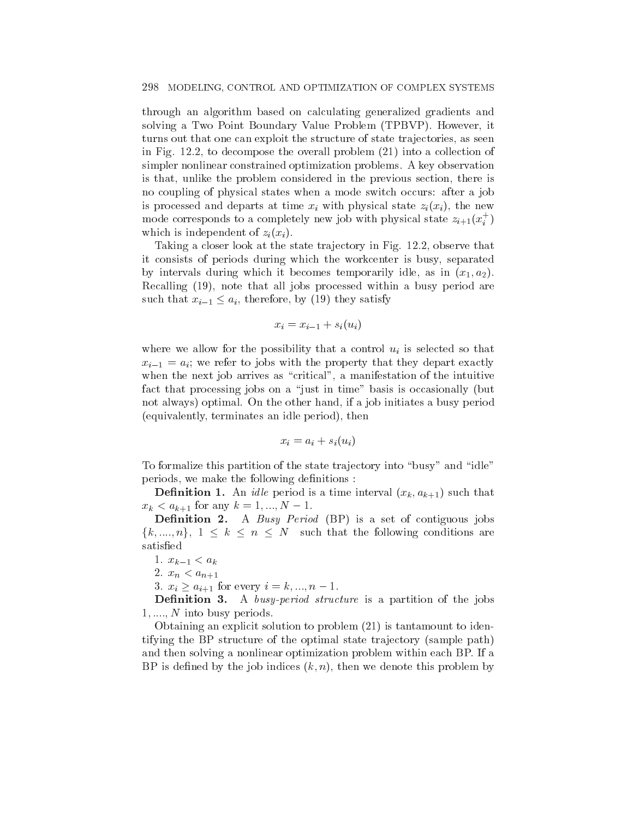through an algorithm based on calculating generalized gradients and solving a Two Point Boundary Value Problem (TPBVP). However, it turns out that one can exploit the structure of state trajectories, as seen in Fig. 12.2, to decompose the overall problem  $(21)$  into a collection of simpler nonlinear constrained optimization problems. A key observation is that, unlike the problem considered in the previous section, there is no coupling of physical states when a mode switch occurs: after a job is processed and departs at time  $x_i$  with physical state  $z_i(x_i)$ , the new mode corresponds to a completely new job with physical state  $z_{i+1}(x_i^+)$ which is independent of  $z_i(x_i)$ .

Taking a closer look at the state trajectory in Fig. 12.2, observe that it consists of periods during which the workcenter is busy, separated by intervals during which it becomes temporarily idle, as in  $(x_1, a_2)$ . Recalling (19), note that all jobs processed within a busy period are such that  $x_{i-1} \leq a_i$ , therefore, by (19) they satisfy

$$
x_i = x_{i-1} + s_i(u_i)
$$

where we allow for the possibility that a control  $u_i$  is selected so that  $x_{i-1} = a_i$ ; we refer to jobs with the property that they depart exactly when the next job arrives as "critical", a manifestation of the intuitive fact that processing jobs on a "just in time" basis is occasionally (but not always) optimal. On the other hand, if a job initiates a busy period (equivalently, terminates an idle period), then

$$
x_i = a_i + s_i(u_i)
$$

To formalize this partition of the state trajectory into "busy" and "idle" periods, we make the following definitions:

**Definition 1.** An *idle* period is a time interval  $(x_k, a_{k+1})$  such that  $x_k < a_{k+1}$  for any  $k = 1, ..., N - 1$ .

**Definition 2.** A *Busy Period* (BP) is a set of contiguous jobs  $\{k, ..., n\}, 1 \leq k \leq n \leq N$  such that the following conditions are satisfied

1.  $x_{k-1} < a_k$ 

2.  $x_n < a_{n+1}$ 

3.  $x_i \ge a_{i+1}$  for every  $i = k, ..., n - 1$ .

**Definition 3.** A *busy-period structure* is a partition of the jobs  $1, \ldots, N$  into busy periods.

Obtaining an explicit solution to problem  $(21)$  is tantamount to identifying the BP structure of the optimal state trajectory (sample path) and then solving a nonlinear optimization problem within each BP. If a BP is defined by the job indices  $(k, n)$ , then we denote this problem by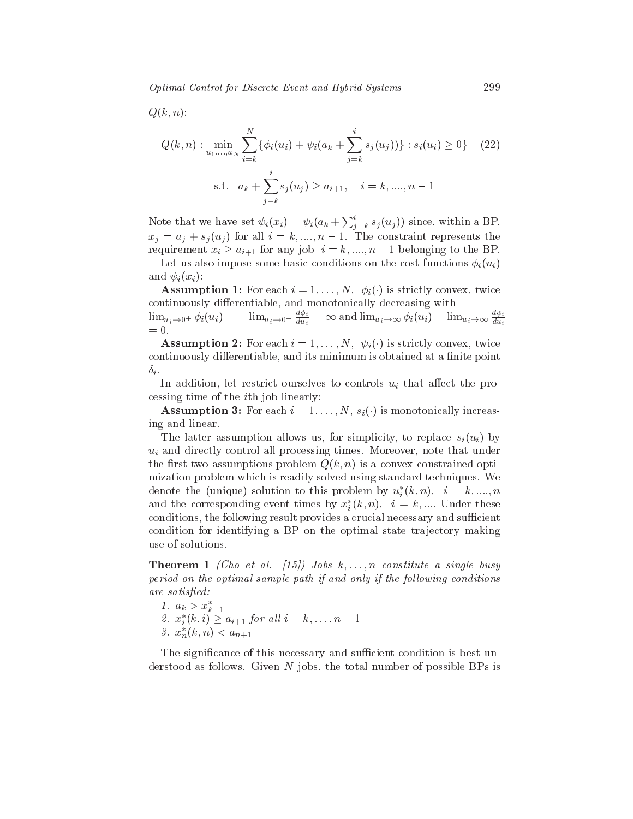Optimal Control for Discrete Event and Hybrid Systems

$$
Q(k, n):
$$
  
\n
$$
Q(k, n): \min_{u_1, \dots, u_N} \sum_{i=k}^N \{ \phi_i(u_i) + \psi_i(a_k + \sum_{j=k}^i s_j(u_j)) \} : s_i(u_i) \ge 0 \} \quad (22)
$$
  
\ns.t.  $a_k + \sum_{j=k}^i s_j(u_j) \ge a_{i+1}, \quad i = k, \dots, n-1$ 

Note that we have set  $\psi_i(x_i) = \psi_i(a_k + \sum_{j=k}^i s_j(u_j))$  since, within a BP,<br>  $x_j = a_j + s_j(u_j)$  for all  $i = k, ..., n - 1$ . The constraint represents the requirement  $x_i \ge a_{i+1}$  for any job  $i = k, ..., n-1$  belonging to the BP.

Let us also impose some basic conditions on the cost functions  $\phi_i(u_i)$ and  $\psi_i(x_i)$ :

**Assumption 1:** For each  $i = 1, ..., N$ ,  $\phi_i(\cdot)$  is strictly convex, twice continuously differentiable, and monotonically decreasing with<br>  $\lim_{u_i \to 0^+} \phi_i(u_i) = -\lim_{u_i \to 0^+} \frac{d\phi_i}{du_i} = \infty$  and  $\lim_{u_i \to \infty} \phi_i(u_i) = \lim_{u_i \to \infty} \frac{d\phi_i}{du_i}$  $= 0.$ 

**Assumption 2:** For each  $i = 1, ..., N$ ,  $\psi_i(\cdot)$  is strictly convex, twice continuously differentiable, and its minimum is obtained at a finite point  $\delta_i$ .

In addition, let restrict ourselves to controls  $u_i$  that affect the processing time of the *i*th job linearly:

**Assumption 3:** For each  $i = 1, ..., N$ ,  $s_i(\cdot)$  is monotonically increasing and linear.

The latter assumption allows us, for simplicity, to replace  $s_i(u_i)$  by  $u_i$  and directly control all processing times. Moreover, note that under the first two assumptions problem  $Q(k, n)$  is a convex constrained optimization problem which is readily solved using standard techniques. We denote the (unique) solution to this problem by  $u_i^*(k,n)$ ,  $i = k, ..., n$ and the corresponding event times by  $x_i^*(k, n)$ ,  $i = k, ...$  Under these conditions, the following result provides a crucial necessary and sufficient condition for identifying a BP on the optimal state trajectory making use of solutions.

**Theorem 1** (Cho et al. [15]) Jobs  $k, \ldots, n$  constitute a single busy period on the optimal sample path if and only if the following conditions are satisfied:

1. 
$$
a_k > x_{k-1}^*
$$
  
\n2.  $x_i^*(k, i) \ge a_{i+1}$  for all  $i = k, ..., n-1$   
\n3.  $x_n^*(k, n) < a_{n+1}$ 

The significance of this necessary and sufficient condition is best understood as follows. Given  $N$  jobs, the total number of possible BPs is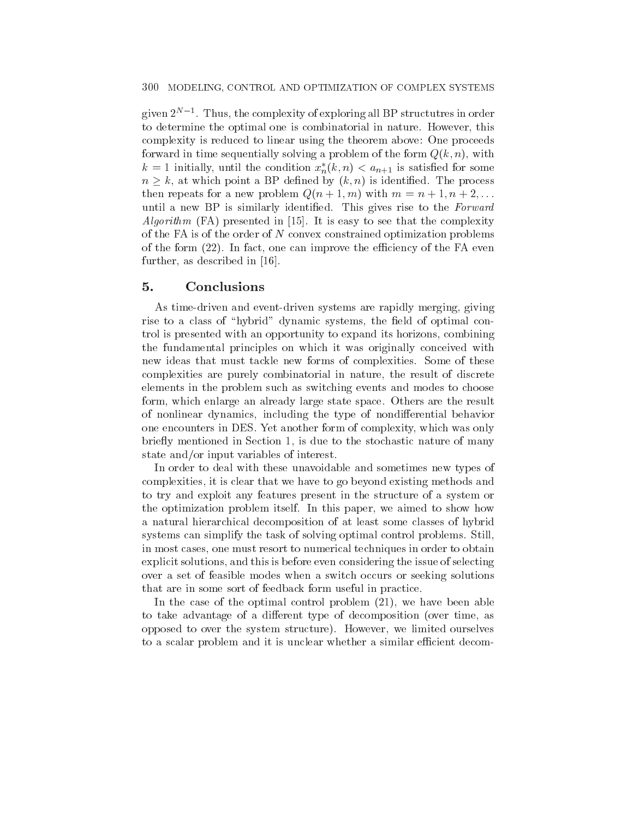given  $2^{N-1}$ . Thus, the complexity of exploring all BP structutres in order to determine the optimal one is combinatorial in nature. However, this complexity is reduced to linear using the theorem above: One proceeds forward in time sequentially solving a problem of the form  $Q(k, n)$ , with  $k=1$  initially, until the condition  $x_n^*(k,n) < a_{n+1}$  is satisfied for some  $n \geq k$ , at which point a BP defined by  $(k, n)$  is identified. The process then repeats for a new problem  $Q(n+1, m)$  with  $m = n+1, n+2, ...$ until a new BP is similarly identified. This gives rise to the Forward *Algorithm* (FA) presented in [15]. It is easy to see that the complexity of the FA is of the order of N convex constrained optimization problems of the form (22). In fact, one can improve the efficiency of the FA even further, as described in  $[16]$ .

#### 5. Conclusions

As time-driven and event-driven systems are rapidly merging, giving rise to a class of "hybrid" dynamic systems, the field of optimal control is presented with an opportunity to expand its horizons, combining the fundamental principles on which it was originally conceived with new ideas that must tackle new forms of complexities. Some of these complexities are purely combinatorial in nature, the result of discrete elements in the problem such as switching events and modes to choose form, which enlarge an already large state space. Others are the result of nonlinear dynamics, including the type of nondifferential behavior one encounters in DES. Yet another form of complexity, which was only briefly mentioned in Section 1, is due to the stochastic nature of many state and/or input variables of interest.

In order to deal with these unavoidable and sometimes new types of complexities, it is clear that we have to go beyond existing methods and to try and exploit any features present in the structure of a system or the optimization problem itself. In this paper, we aimed to show how a natural hierarchical decomposition of at least some classes of hybrid systems can simplify the task of solving optimal control problems. Still, in most cases, one must resort to numerical techniques in order to obtain explicit solutions, and this is before even considering the issue of selecting over a set of feasible modes when a switch occurs or seeking solutions that are in some sort of feedback form useful in practice.

In the case of the optimal control problem  $(21)$ , we have been able to take advantage of a different type of decomposition (over time, as opposed to over the system structure). However, we limited ourselves to a scalar problem and it is unclear whether a similar efficient decom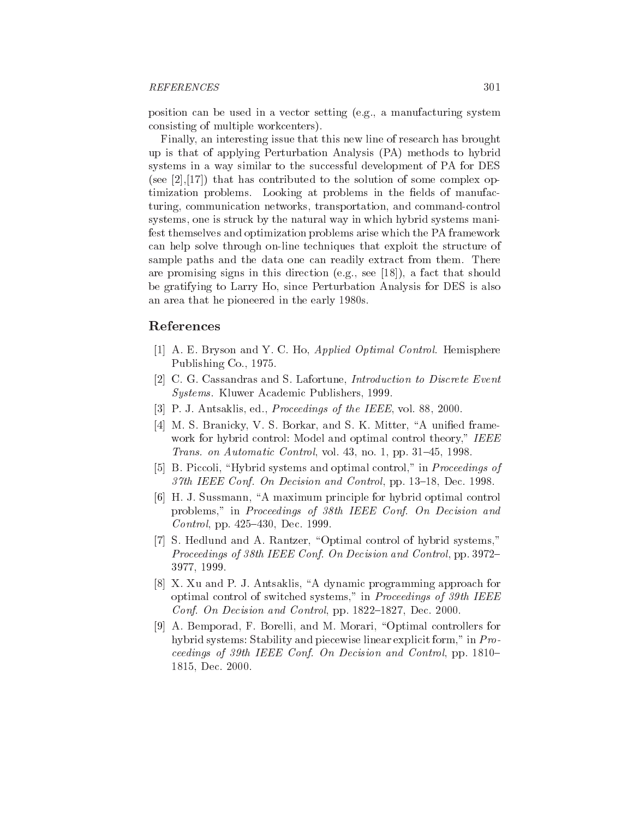position can be used in a vector setting (e.g., a manufacturing system consisting of multiple workcenters).

Finally, an interesting issue that this new line of research has brought up is that of applying Perturbation Analysis (PA) methods to hybrid systems in a way similar to the successful development of PA for DES (see [2], [17]) that has contributed to the solution of some complex optimization problems. Looking at problems in the fields of manufacturing, communication networks, transportation, and command-control systems, one is struck by the natural way in which hybrid systems manifest themselves and optimization problems arise which the PA framework can help solve through on-line techniques that exploit the structure of sample paths and the data one can readily extract from them. There are promising signs in this direction (e.g., see [18]), a fact that should be gratifying to Larry Ho, since Perturbation Analysis for DES is also an area that he pioneered in the early 1980s.

## References

- [1] A. E. Bryson and Y. C. Ho, *Applied Optimal Control*. Hemisphere Publishing Co., 1975.
- [2] C. G. Cassandras and S. Lafortune, *Introduction to Discrete Event Systems.* Kluwer Academic Publishers, 1999.
- [3] P. J. Antsaklis, ed., Proceedings of the IEEE, vol. 88, 2000.
- [4] M. S. Branicky, V. S. Borkar, and S. K. Mitter, "A unified framework for hybrid control: Model and optimal control theory," IEEE Trans. on Automatic Control, vol. 43, no. 1, pp. 31–45, 1998.
- [5] B. Piccoli, "Hybrid systems and optimal control," in *Proceedings of* 37th IEEE Conf. On Decision and Control, pp. 13–18, Dec. 1998.
- [6] H. J. Sussmann, "A maximum principle for hybrid optimal control problems," in Proceedings of 38th IEEE Conf. On Decision and Control, pp. 425–430, Dec. 1999.
- [7] S. Hedlund and A. Rantzer, "Optimal control of hybrid systems," Proceedings of 38th IEEE Conf. On Decision and Control, pp. 3972– 3977, 1999.
- [8] X. Xu and P. J. Antsaklis, "A dynamic programming approach for optimal control of switched systems," in Proceedings of 39th IEEE Conf. On Decision and Control, pp. 1822-1827, Dec. 2000.
- [9] A. Bemporad, F. Borelli, and M. Morari, "Optimal controllers for hybrid systems: Stability and piecewise linear explicit form," in Proceedings of 39th IEEE Conf. On Decision and Control, pp. 1810– 1815, Dec. 2000.